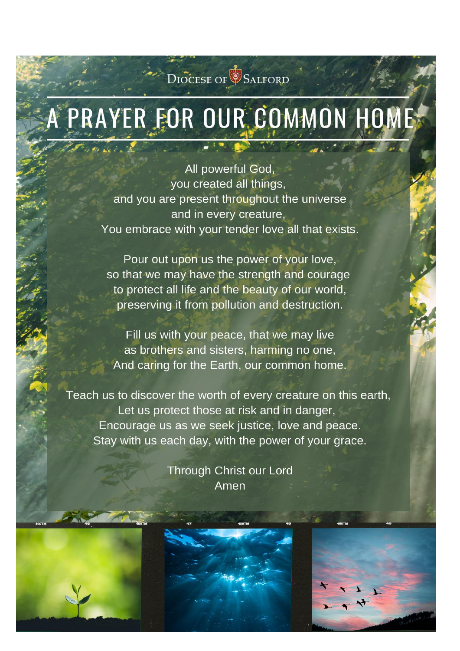# DIOCESE OF SALFORD

# PRAYER FOR OUR COMMON HOME

All powerful God, you created all things. and you are present throughout the universe and in every creature, You embrace with your tender love all that exists.

Pour out upon us the power of your love, so that we may have the strength and courage to protect all life and the beauty of our world, preserving it from pollution and destruction.

Fill us with your peace, that we may live as brothers and sisters, harming no one, And caring for the Earth, our common home.

Teach us to discover the worth of every creature on this earth, Let us protect those at risk and in danger, Encourage us as we seek justice, love and peace. Stay with us each day, with the power of your grace.

> **Through Christ our Lord** Amen